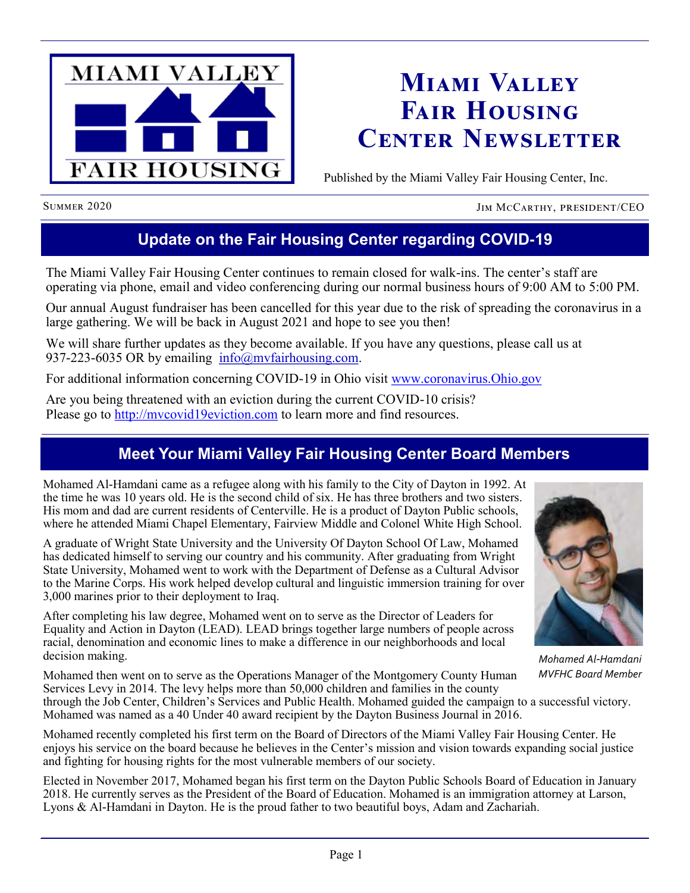

# **Miami Valley Fair Housing Center Newsletter**

Published by the Miami Valley Fair Housing Center, Inc.

SUMMER 2020 JIM MCCARTHY, PRESIDENT/CEO

# **Update on the Fair Housing Center regarding COVID-19**

The Miami Valley Fair Housing Center continues to remain closed for walk-ins. The center's staff are operating via phone, email and video conferencing during our normal business hours of 9:00 AM to 5:00 PM.

Our annual August fundraiser has been cancelled for this year due to the risk of spreading the coronavirus in a large gathering. We will be back in August 2021 and hope to see you then!

We will share further updates as they become available. If you have any questions, please call us at 937-223-6035 OR by emailing  $info@mvfairhousing.com$ .

For additional information concerning COVID-19 in Ohio visit [www.coronavirus.Ohio.gov](http://www.coronavirus.ohio.gov)

Are you being threatened with an eviction during the current COVID-10 crisis? Please go to [http://mvcovid19eviction.com](http://www.mvcovid19eviction.com) to learn more and find resources.

# **Meet Your Miami Valley Fair Housing Center Board Members**

Mohamed Al-Hamdani came as a refugee along with his family to the City of Dayton in 1992. At the time he was 10 years old. He is the second child of six. He has three brothers and two sisters. His mom and dad are current residents of Centerville. He is a product of Dayton Public schools, where he attended Miami Chapel Elementary, Fairview Middle and Colonel White High School.

A graduate of Wright State University and the University Of Dayton School Of Law, Mohamed has dedicated himself to serving our country and his community. After graduating from Wright State University, Mohamed went to work with the Department of Defense as a Cultural Advisor to the Marine Corps. His work helped develop cultural and linguistic immersion training for over 3,000 marines prior to their deployment to Iraq.

After completing his law degree, Mohamed went on to serve as the Director of Leaders for Equality and Action in Dayton (LEAD). LEAD brings together large numbers of people across racial, denomination and economic lines to make a difference in our neighborhoods and local decision making.

Mohamed then went on to serve as the Operations Manager of the Montgomery County Human Services Levy in 2014. The levy helps more than 50,000 children and families in the county



*Mohamed Al-Hamdani MVFHC Board Member*

through the Job Center, Children's Services and Public Health. Mohamed guided the campaign to a successful victory. Mohamed was named as a 40 Under 40 award recipient by the Dayton Business Journal in 2016.

Mohamed recently completed his first term on the Board of Directors of the Miami Valley Fair Housing Center. He enjoys his service on the board because he believes in the Center's mission and vision towards expanding social justice and fighting for housing rights for the most vulnerable members of our society.

Elected in November 2017, Mohamed began his first term on the Dayton Public Schools Board of Education in January 2018. He currently serves as the President of the Board of Education. Mohamed is an immigration attorney at Larson, Lyons & Al-Hamdani in Dayton. He is the proud father to two beautiful boys, Adam and Zachariah.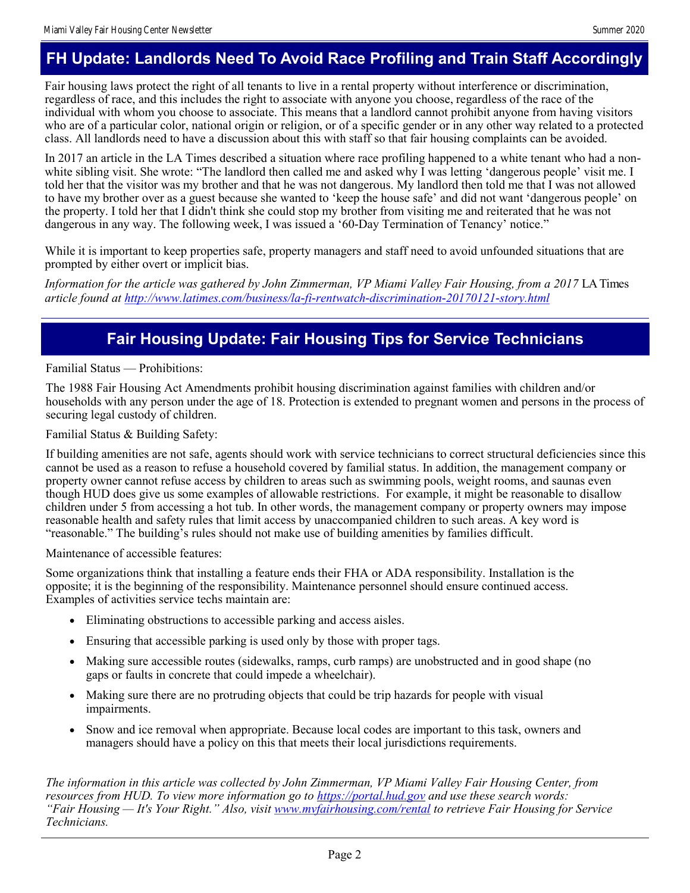## **FH Update: Landlords Need To Avoid Race Profiling and Train Staff Accordingly**

Fair housing laws protect the right of all tenants to live in a rental property without interference or discrimination, regardless of race, and this includes the right to associate with anyone you choose, regardless of the race of the individual with whom you choose to associate. This means that a landlord cannot prohibit anyone from having visitors who are of a particular color, national origin or religion, or of a specific gender or in any other way related to a protected class. All landlords need to have a discussion about this with staff so that fair housing complaints can be avoided.

In 2017 an article in the LA Times described a situation where race profiling happened to a white tenant who had a nonwhite sibling visit. She wrote: "The landlord then called me and asked why I was letting 'dangerous people' visit me. I told her that the visitor was my brother and that he was not dangerous. My landlord then told me that I was not allowed to have my brother over as a guest because she wanted to 'keep the house safe' and did not want 'dangerous people' on the property. I told her that I didn't think she could stop my brother from visiting me and reiterated that he was not dangerous in any way. The following week, I was issued a '60-Day Termination of Tenancy' notice."

While it is important to keep properties safe, property managers and staff need to avoid unfounded situations that are prompted by either overt or implicit bias.

*Information for the article was gathered by John Zimmerman, VP Miami Valley Fair Housing, from a 2017* LA Times *article found at <http://www.latimes.com/business/la-fi-rentwatch-discrimination-20170121-story.html>*

### **Fair Housing Update: Fair Housing Tips for Service Technicians**

Familial Status — Prohibitions:

The 1988 Fair Housing Act Amendments prohibit housing discrimination against families with children and/or households with any person under the age of 18. Protection is extended to pregnant women and persons in the process of securing legal custody of children.

Familial Status & Building Safety:

If building amenities are not safe, agents should work with service technicians to correct structural deficiencies since this cannot be used as a reason to refuse a household covered by familial status. In addition, the management company or property owner cannot refuse access by children to areas such as swimming pools, weight rooms, and saunas even though HUD does give us some examples of allowable restrictions. For example, it might be reasonable to disallow children under 5 from accessing a hot tub. In other words, the management company or property owners may impose reasonable health and safety rules that limit access by unaccompanied children to such areas. A key word is "reasonable." The building's rules should not make use of building amenities by families difficult.

Maintenance of accessible features:

Some organizations think that installing a feature ends their FHA or ADA responsibility. Installation is the opposite; it is the beginning of the responsibility. Maintenance personnel should ensure continued access. Examples of activities service techs maintain are:

- Eliminating obstructions to accessible parking and access aisles.
- Ensuring that accessible parking is used only by those with proper tags.
- Making sure accessible routes (sidewalks, ramps, curb ramps) are unobstructed and in good shape (no gaps or faults in concrete that could impede a wheelchair).
- Making sure there are no protruding objects that could be trip hazards for people with visual impairments.
- Snow and ice removal when appropriate. Because local codes are important to this task, owners and managers should have a policy on this that meets their local jurisdictions requirements.

*The information in this article was collected by John Zimmerman, VP Miami Valley Fair Housing Center, from resources from HUD. To view more information go to<https://portal.hud.gov> and use these search words: "Fair Housing — It's Your Right." Also, visit [www.mvfairhousing.com/rental](http://www.mvfairhousing.com/rental) to retrieve Fair Housing for Service Technicians.*